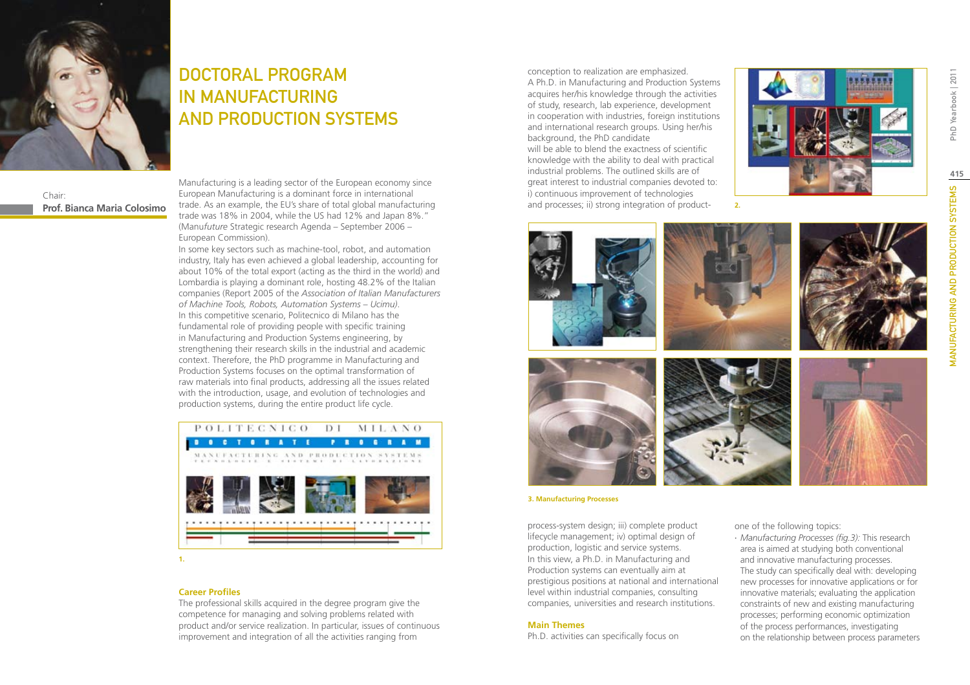

Chair: **Prof. Bianca Maria Colosimo**

# DOCTORAL PROGRAM IN MANUFACTURING AND PRODUCTION SYSTEMS

Manufacturing is a leading sector of the European economy since European Manufacturing is a dominant force in international trade. As an example, the EU's share of total global manufacturing trade was 18% in 2004, while the US had 12% and Japan 8%." (Manu*future* Strategic research Agenda – September 2006 – European Commission).

In some key sectors such as machine-tool, robot, and automation industry, Italy has even achieved a global leadership, accounting for about 10% of the total export (acting as the third in the world) and Lombardia is playing a dominant role, hosting 48.2% of the Italian companies (Report 2005 of the *Association of Italian Manufacturers of Machine Tools, Robots, Automation Systems – Ucimu)*. In this competitive scenario, Politecnico di Milano has the fundamental role of providing people with specific training in Manufacturing and Production Systems engineering, by strengthening their research skills in the industrial and academic context. Therefore, the PhD programme in Manufacturing and Production Systems focuses on the optimal transformation of raw materials into final products, addressing all the issues related with the introduction, usage, and evolution of technologies and production systems, during the entire product life cycle.



### **Career Profiles**

The professional skills acquired in the degree program give the competence for managing and solving problems related with product and/or service realization. In particular, issues of continuous improvement and integration of all the activities ranging from

conception to realization are emphasized. A Ph.D. in Manufacturing and Production Systems acquires her/his knowledge through the activities of study, research, lab experience, development in cooperation with industries, foreign institutions and international research groups. Using her/his background, the PhD candidate will be able to blend the exactness of scientific knowledge with the ability to deal with practical industrial problems. The outlined skills are of great interest to industrial companies devoted to: i) continuous improvement of technologies and processes; ii) strong integration of product-





**2.**

#### **3. Manufacturing Processes**

process-system design; iii) complete product lifecycle management; iv) optimal design of production, logistic and service systems. In this view, a Ph.D. in Manufacturing and Production systems can eventually aim at prestigious positions at national and international level within industrial companies, consulting companies, universities and research institutions.

### **Main Themes**

Ph.D. activities can specifically focus on

one of the following topics:

∙ *Manufacturing Processes (fig.3):* This research area is aimed at studying both conventional and innovative manufacturing processes. The study can specifically deal with: developing new processes for innovative applications or for innovative materials; evaluating the application constraints of new and existing manufacturing processes; performing economic optimization of the process performances, investigating on the relationship between process parameters PhD Yearbook | 2011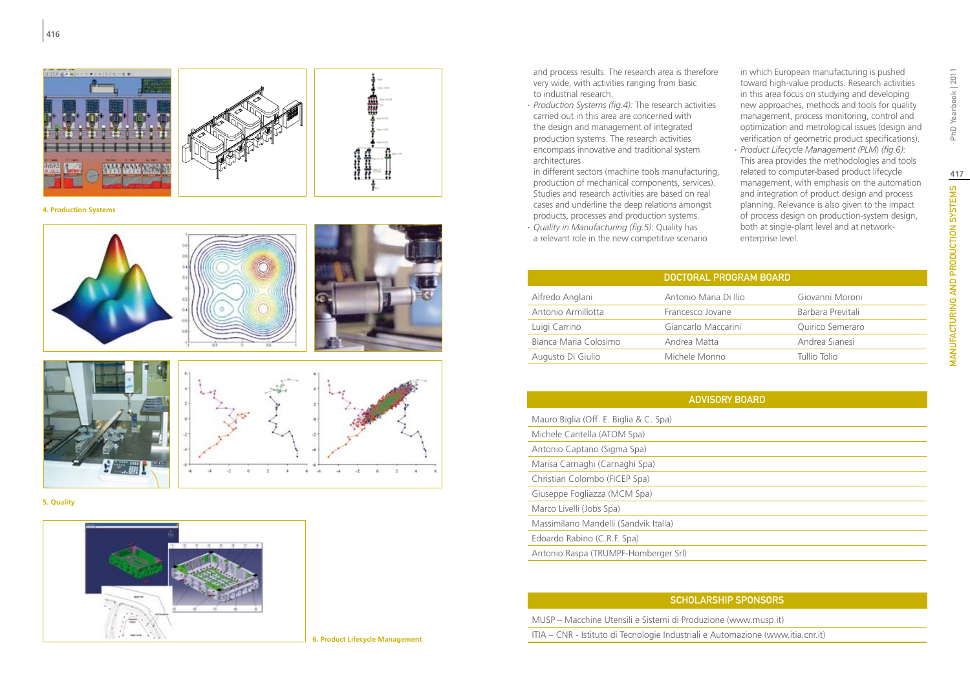

**4. Production Systems**









**5. Quality**



**6. Product Lifecycle Management**

and process results. The research area is therefore very wide, with activities ranging from basic to industrial research.

∙ *Production Systems (fig.4):* The research activities carried out in this area are concerned with the design and management of integrated production systems. The research activities encompass innovative and traditional system architectures

in different sectors (machine tools manufacturing, production of mechanical components, services). Studies and research activities are based on real cases and underline the deep relations amongst products, processes and production systems.

∙ *Quality in Manufacturing (fig.5)*: Quality has a relevant role in the new competitive scenario

in which European manufacturing is pushed toward high-value products. Research activities in this area focus on studying and developing new approaches, methods and tools for quality management, process monitoring, control and optimization and metrological issues (design and verification of geometric product specifications).

∙ *Product Lifecycle Management (PLM*) *(fig.6)*: This area provides the methodologies and tools related to computer-based product lifecycle management, with emphasis on the automation and integration of product design and process planning. Relevance is also given to the impact of process design on production-system design, both at single-plant level and at networkenterprise level.

|                       | DOCTORAL PROGRAM BOARD |                   |
|-----------------------|------------------------|-------------------|
| Alfredo Anglani       | Antonio Maria Di Ilio  | Giovanni Moroni   |
| Antonio Armillotta    | Francesco Jovane       | Barbara Previtali |
| Luigi Carrino         | Giancarlo Maccarini    | Quirico Semeraro  |
| Bianca Maria Colosimo | Andrea Matta           | Andrea Sianesi    |
| Augusto Di Giulio     | Michele Monno          | Tullio Tolio      |

| <b>ADVISORY BOARD</b>                                                           |
|---------------------------------------------------------------------------------|
| Mauro Biglia (Off. E. Biglia & C. Spa)                                          |
| Michele Cantella (ATOM Spa)                                                     |
| Antonio Captano (Sigma Spa)                                                     |
| Marisa Carnaghi (Carnaghi Spa)                                                  |
| Christian Colombo (FICEP Spa)                                                   |
| Giuseppe Fogliazza (MCM Spa)                                                    |
| Marco Livelli (Jobs Spa)                                                        |
| Massimilano Mandelli (Sandvik Italia)                                           |
| Edoardo Rabino (C.R.F. Spa)                                                     |
| Antonio Raspa (TRUMPF-Homberger Srl)                                            |
|                                                                                 |
|                                                                                 |
| <b>SCHOLARSHIP SPONSORS</b>                                                     |
| MUSP – Macchine Utensili e Sistemi di Produzione (www.musp.it)                  |
| ITIA – CNR - Istituto di Tecnologie Industriali e Automazione (www.itia.cnr.it) |

## SCHOLARSHIP SPONSORS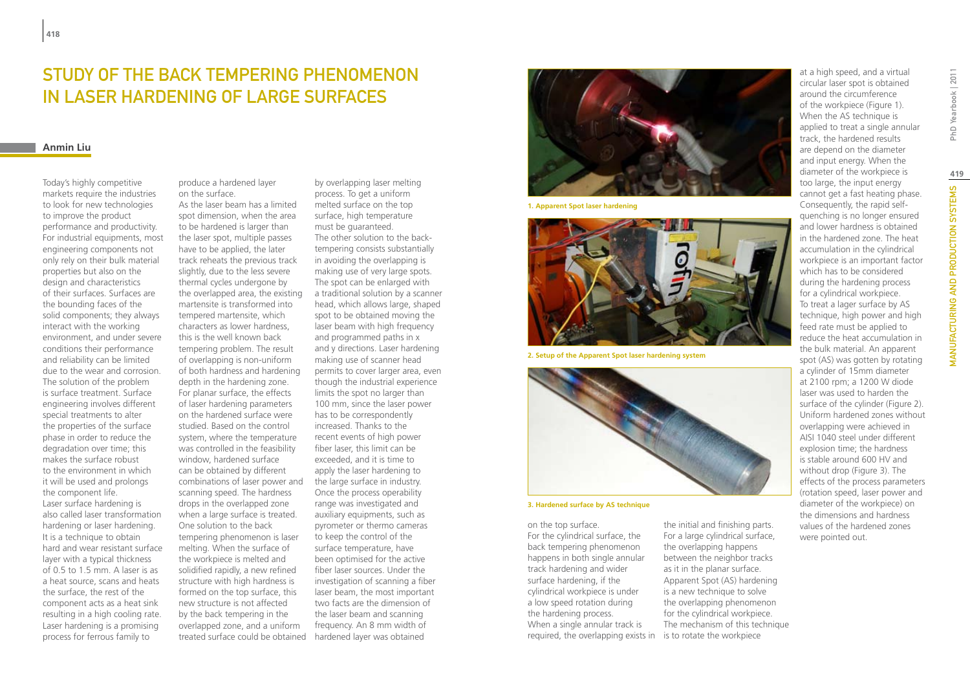# STUDY OF THE BACK TEMPERING PHENOMENON IN LASER HARDENING OF LARGE SURFACES

### **Anmin Liu**

Today's highly competitive markets require the industries to look for new technologies to improve the product performance and productivity. For industrial equipments, most engineering components not only rely on their bulk material properties but also on the design and characteristics of their surfaces. Surfaces are the bounding faces of the solid components; they always interact with the working environment, and under severe conditions their performance and reliability can be limited due to the wear and corrosion. The solution of the problem is surface treatment. Surface engineering involves different special treatments to alter the properties of the surface phase in order to reduce the degradation over time; this makes the surface robust to the environment in which it will be used and prolongs the component life. Laser surface hardening is also called laser transformation hardening or laser hardening. It is a technique to obtain hard and wear resistant surface layer with a typical thickness of 0.5 to 1.5 mm. A laser is as a heat source, scans and heats the surface, the rest of the component acts as a heat sink resulting in a high cooling rate. Laser hardening is a promising process for ferrous family to

produce a hardened layer on the surface. As the laser beam has a limited spot dimension, when the area to be hardened is larger than the laser spot, multiple passes have to be applied, the later track reheats the previous track slightly, due to the less severe thermal cycles undergone by the overlapped area, the existing martensite is transformed into tempered martensite, which characters as lower hardness, this is the well known back tempering problem. The result of overlapping is non-uniform of both hardness and hardening depth in the hardening zone. For planar surface, the effects of laser hardening parameters on the hardened surface were studied. Based on the control system, where the temperature was controlled in the feasibility window, hardened surface can be obtained by different combinations of laser power and scanning speed. The hardness drops in the overlapped zone when a large surface is treated. One solution to the back tempering phenomenon is laser melting. When the surface of the workpiece is melted and solidified rapidly, a new refined structure with high hardness is formed on the top surface, this new structure is not affected by the back tempering in the overlapped zone, and a uniform treated surface could be obtained hardened layer was obtained

by overlapping laser melting process. To get a uniform melted surface on the top surface, high temperature must be guaranteed. The other solution to the backtempering consists substantially in avoiding the overlapping is making use of very large spots. The spot can be enlarged with a traditional solution by a scanner head, which allows large, shaped spot to be obtained moving the laser beam with high frequency and programmed paths in x and y directions. Laser hardening making use of scanner head permits to cover larger area, even though the industrial experience limits the spot no larger than 100 mm, since the laser power has to be correspondently increased. Thanks to the recent events of high power fiber laser, this limit can be exceeded, and it is time to apply the laser hardening to the large surface in industry. Once the process operability range was investigated and auxiliary equipments, such as pyrometer or thermo cameras to keep the control of the surface temperature, have been optimised for the active fiber laser sources. Under the investigation of scanning a fiber laser beam, the most important two facts are the dimension of the laser beam and scanning frequency. An 8 mm width of



**1. Apparent Spot laser hardening**



**2. Setup of the Apparent Spot laser hardening system**



**3. Hardened surface by AS technique**

on the top surface. For the cylindrical surface, the back tempering phenomenon happens in both single annular track hardening and wider surface hardening, if the cylindrical workpiece is under a low speed rotation during the hardening process. When a single annular track is required, the overlapping exists in is to rotate the workpiece

the initial and finishing parts. For a large cylindrical surface, the overlapping happens between the neighbor tracks as it in the planar surface. Apparent Spot (AS) hardening is a new technique to solve the overlapping phenomenon for the cylindrical workpiece. The mechanism of this technique at a high speed, and a virtual circular laser spot is obtained around the circumference of the workpiece (Figure 1). When the AS technique is applied to treat a single annular track, the hardened results are depend on the diameter and input energy. When the diameter of the workpiece is too large, the input energy cannot get a fast heating phase. Consequently, the rapid selfquenching is no longer ensured and lower hardness is obtained in the hardened zone. The heat accumulation in the cylindrical workpiece is an important factor which has to be considered during the hardening process for a cylindrical workpiece. To treat a lager surface by AS technique, high power and high feed rate must be applied to reduce the heat accumulation in the bulk material. An apparent spot (AS) was gotten by rotating a cylinder of 15mm diameter at 2100 rpm; a 1200 W diode laser was used to harden the surface of the cylinder (Figure 2). Uniform hardened zones without overlapping were achieved in AISI 1040 steel under different explosion time; the hardness is stable around 600 HV and without drop (Figure 3). The effects of the process parameters (rotation speed, laser power and diameter of the workpiece) on the dimensions and hardness values of the hardened zones were pointed out.